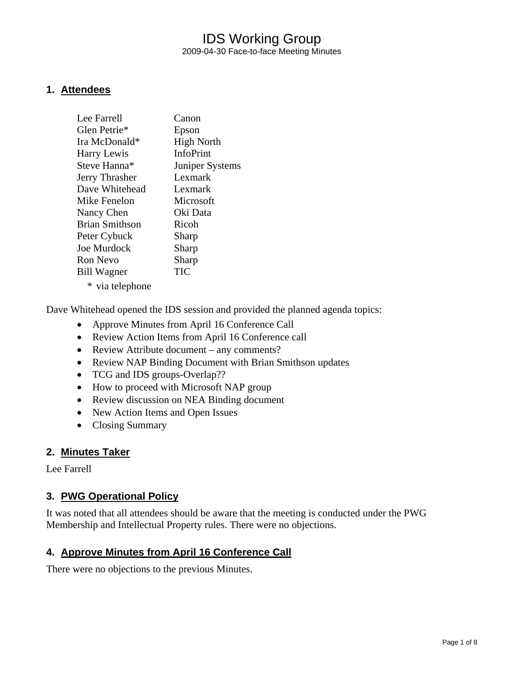#### **1. Attendees**

| Lee Farrell           | Canon             |
|-----------------------|-------------------|
| Glen Petrie*          | Epson             |
| Ira McDonald*         | <b>High North</b> |
| <b>Harry Lewis</b>    | <b>InfoPrint</b>  |
| Steve Hanna*          | Juniper Systems   |
| Jerry Thrasher        | Lexmark           |
| Dave Whitehead        | Lexmark           |
| Mike Fenelon          | Microsoft         |
| Nancy Chen            | Oki Data          |
| <b>Brian Smithson</b> | Ricoh             |
| Peter Cybuck          | Sharp             |
| Joe Murdock           | Sharp             |
| Ron Nevo              | Sharp             |
| <b>Bill Wagner</b>    | TIC               |
| * via telephone       |                   |

Dave Whitehead opened the IDS session and provided the planned agenda topics:

- Approve Minutes from April 16 Conference Call
- Review Action Items from April 16 Conference call
- Review Attribute document any comments?
- Review NAP Binding Document with Brian Smithson updates
- TCG and IDS groups-Overlap??
- How to proceed with Microsoft NAP group
- Review discussion on NEA Binding document
- New Action Items and Open Issues
- Closing Summary

#### **2. Minutes Taker**

Lee Farrell

#### **3. PWG Operational Policy**

It was noted that all attendees should be aware that the meeting is conducted under the PWG Membership and Intellectual Property rules. There were no objections.

#### **4. Approve Minutes from April 16 Conference Call**

There were no objections to the previous Minutes.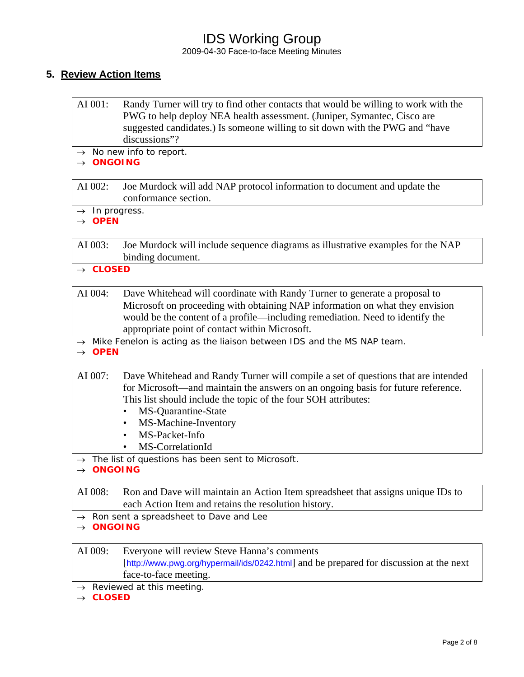2009-04-30 Face-to-face Meeting Minutes

#### **5. Review Action Items**

| AI 001: | Randy Turner will try to find other contacts that would be willing to work with the |
|---------|-------------------------------------------------------------------------------------|
|         | PWG to help deploy NEA health assessment. (Juniper, Symantec, Cisco are             |
|         | suggested candidates.) Is someone willing to sit down with the PWG and "have        |
|         | discussions"?                                                                       |

→ *No new info to report.* 

→ *ONGOING*

AI 002: Joe Murdock will add NAP protocol information to document and update the conformance section.

→ *In progress.* 

→ *OPEN* 

AI 003: Joe Murdock will include sequence diagrams as illustrative examples for the NAP binding document.

→ *CLOSED* 

| AI 004: | Dave Whitehead will coordinate with Randy Turner to generate a proposal to    |  |
|---------|-------------------------------------------------------------------------------|--|
|         | Microsoft on proceeding with obtaining NAP information on what they envision  |  |
|         | would be the content of a profile—including remediation. Need to identify the |  |
|         | appropriate point of contact within Microsoft.                                |  |

<sup>→</sup> *Mike Fenelon is acting as the liaison between IDS and the MS NAP team.* 

→ *OPEN* 

AI 007: Dave Whitehead and Randy Turner will compile a set of questions that are intended for Microsoft—and maintain the answers on an ongoing basis for future reference. This list should include the topic of the four SOH attributes:

- MS-Quarantine-State
- MS-Machine-Inventory
- MS-Packet-Info
- MS-CorrelationId

→ *The list of questions has been sent to Microsoft.* 

→ *ONGOING* 

AI 008: Ron and Dave will maintain an Action Item spreadsheet that assigns unique IDs to each Action Item and retains the resolution history.

→ *Ron sent a spreadsheet to Dave and Lee* 

→ *ONGOING* 

- AI 009: Everyone will review Steve Hanna's comments [<http://www.pwg.org/hypermail/ids/0242.html>] and be prepared for discussion at the next face-to-face meeting.
- → *Reviewed at this meeting.*

→ *CLOSED*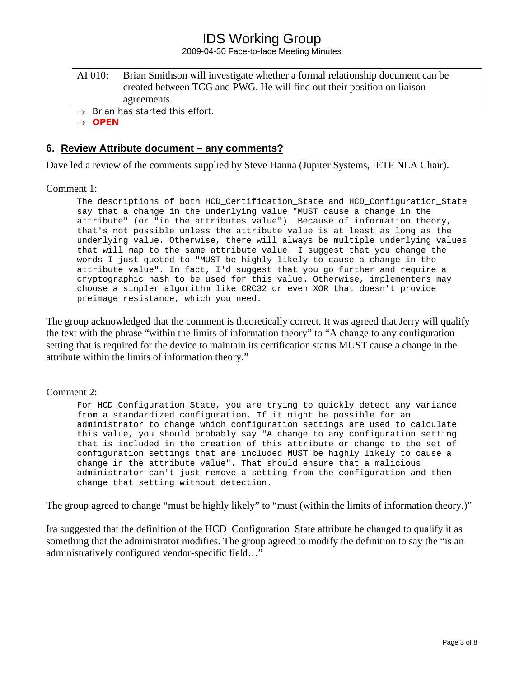2009-04-30 Face-to-face Meeting Minutes

AI 010: Brian Smithson will investigate whether a formal relationship document can be created between TCG and PWG. He will find out their position on liaison agreements.

→ *Brian has started this effort.* 

→ *OPEN* 

#### **6. Review Attribute document – any comments?**

Dave led a review of the comments supplied by Steve Hanna (Jupiter Systems, IETF NEA Chair).

#### Comment 1:

The descriptions of both HCD\_Certification\_State and HCD\_Configuration\_State say that a change in the underlying value "MUST cause a change in the attribute" (or "in the attributes value"). Because of information theory, that's not possible unless the attribute value is at least as long as the underlying value. Otherwise, there will always be multiple underlying values that will map to the same attribute value. I suggest that you change the words I just quoted to "MUST be highly likely to cause a change in the attribute value". In fact, I'd suggest that you go further and require a cryptographic hash to be used for this value. Otherwise, implementers may choose a simpler algorithm like CRC32 or even XOR that doesn't provide preimage resistance, which you need.

The group acknowledged that the comment is theoretically correct. It was agreed that Jerry will qualify the text with the phrase "within the limits of information theory" to "A change to any configuration setting that is required for the device to maintain its certification status MUST cause a change in the attribute within the limits of information theory."

#### Comment 2:

For HCD Configuration State, you are trying to quickly detect any variance from a standardized configuration. If it might be possible for an administrator to change which configuration settings are used to calculate this value, you should probably say "A change to any configuration setting that is included in the creation of this attribute or change to the set of configuration settings that are included MUST be highly likely to cause a change in the attribute value". That should ensure that a malicious administrator can't just remove a setting from the configuration and then change that setting without detection.

The group agreed to change "must be highly likely" to "must (within the limits of information theory.)"

Ira suggested that the definition of the HCD\_Configuration\_State attribute be changed to qualify it as something that the administrator modifies. The group agreed to modify the definition to say the "is an administratively configured vendor-specific field…"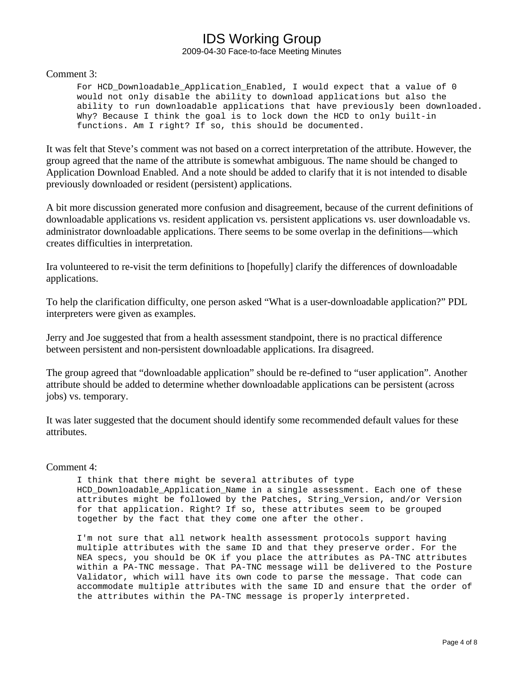#### Comment 3:

For HCD\_Downloadable\_Application\_Enabled, I would expect that a value of 0 would not only disable the ability to download applications but also the ability to run downloadable applications that have previously been downloaded. Why? Because I think the goal is to lock down the HCD to only built-in functions. Am I right? If so, this should be documented.

It was felt that Steve's comment was not based on a correct interpretation of the attribute. However, the group agreed that the name of the attribute is somewhat ambiguous. The name should be changed to Application Download Enabled. And a note should be added to clarify that it is not intended to disable previously downloaded or resident (persistent) applications.

A bit more discussion generated more confusion and disagreement, because of the current definitions of downloadable applications vs. resident application vs. persistent applications vs. user downloadable vs. administrator downloadable applications. There seems to be some overlap in the definitions—which creates difficulties in interpretation.

Ira volunteered to re-visit the term definitions to [hopefully] clarify the differences of downloadable applications.

To help the clarification difficulty, one person asked "What is a user-downloadable application?" PDL interpreters were given as examples.

Jerry and Joe suggested that from a health assessment standpoint, there is no practical difference between persistent and non-persistent downloadable applications. Ira disagreed.

The group agreed that "downloadable application" should be re-defined to "user application". Another attribute should be added to determine whether downloadable applications can be persistent (across jobs) vs. temporary.

It was later suggested that the document should identify some recommended default values for these attributes.

#### Comment 4:

I think that there might be several attributes of type HCD Downloadable Application Name in a single assessment. Each one of these attributes might be followed by the Patches, String Version, and/or Version for that application. Right? If so, these attributes seem to be grouped together by the fact that they come one after the other.

I'm not sure that all network health assessment protocols support having multiple attributes with the same ID and that they preserve order. For the NEA specs, you should be OK if you place the attributes as PA-TNC attributes within a PA-TNC message. That PA-TNC message will be delivered to the Posture Validator, which will have its own code to parse the message. That code can accommodate multiple attributes with the same ID and ensure that the order of the attributes within the PA-TNC message is properly interpreted.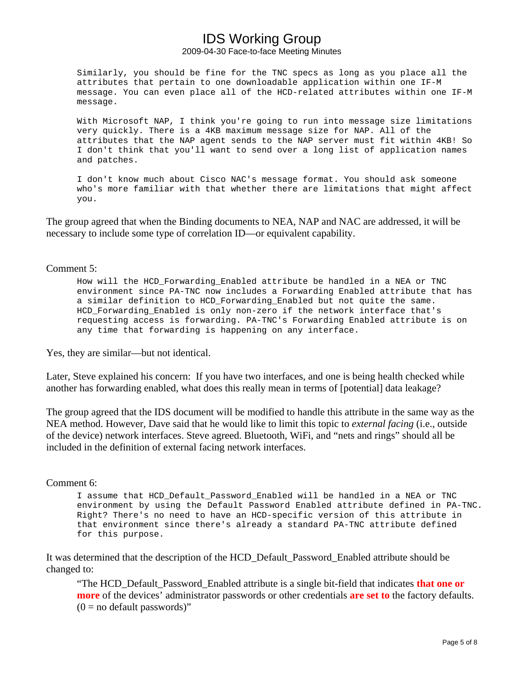Similarly, you should be fine for the TNC specs as long as you place all the attributes that pertain to one downloadable application within one IF-M message. You can even place all of the HCD-related attributes within one IF-M message.

With Microsoft NAP, I think you're going to run into message size limitations very quickly. There is a 4KB maximum message size for NAP. All of the attributes that the NAP agent sends to the NAP server must fit within 4KB! So I don't think that you'll want to send over a long list of application names and patches.

I don't know much about Cisco NAC's message format. You should ask someone who's more familiar with that whether there are limitations that might affect you.

The group agreed that when the Binding documents to NEA, NAP and NAC are addressed, it will be necessary to include some type of correlation ID—or equivalent capability.

Comment 5:

How will the HCD\_Forwarding\_Enabled attribute be handled in a NEA or TNC environment since PA-TNC now includes a Forwarding Enabled attribute that has a similar definition to HCD\_Forwarding\_Enabled but not quite the same. HCD\_Forwarding\_Enabled is only non-zero if the network interface that's requesting access is forwarding. PA-TNC's Forwarding Enabled attribute is on any time that forwarding is happening on any interface.

Yes, they are similar—but not identical.

Later, Steve explained his concern: If you have two interfaces, and one is being health checked while another has forwarding enabled, what does this really mean in terms of [potential] data leakage?

The group agreed that the IDS document will be modified to handle this attribute in the same way as the NEA method. However, Dave said that he would like to limit this topic to *external facing* (i.e., outside of the device) network interfaces. Steve agreed. Bluetooth, WiFi, and "nets and rings" should all be included in the definition of external facing network interfaces.

#### Comment 6:

I assume that HCD\_Default\_Password\_Enabled will be handled in a NEA or TNC environment by using the Default Password Enabled attribute defined in PA-TNC. Right? There's no need to have an HCD-specific version of this attribute in that environment since there's already a standard PA-TNC attribute defined for this purpose.

It was determined that the description of the HCD\_Default\_Password\_Enabled attribute should be changed to:

"The HCD\_Default\_Password\_Enabled attribute is a single bit-field that indicates **that one or more** of the devices' administrator passwords or other credentials **are set to** the factory defaults.  $(0 = no$  default passwords)"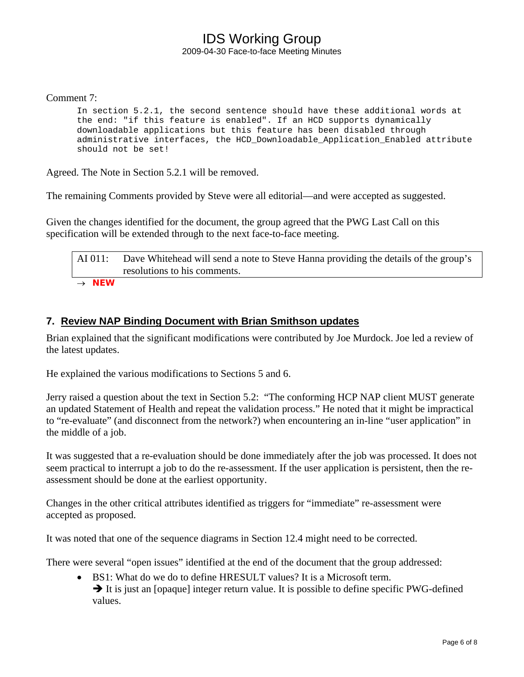#### Comment 7:

In section 5.2.1, the second sentence should have these additional words at the end: "if this feature is enabled". If an HCD supports dynamically downloadable applications but this feature has been disabled through administrative interfaces, the HCD\_Downloadable\_Application\_Enabled attribute should not be set!

Agreed. The Note in Section 5.2.1 will be removed.

The remaining Comments provided by Steve were all editorial—and were accepted as suggested.

Given the changes identified for the document, the group agreed that the PWG Last Call on this specification will be extended through to the next face-to-face meeting.

AI 011: Dave Whitehead will send a note to Steve Hanna providing the details of the group's resolutions to his comments.

→ *NEW* 

#### **7. Review NAP Binding Document with Brian Smithson updates**

Brian explained that the significant modifications were contributed by Joe Murdock. Joe led a review of the latest updates.

He explained the various modifications to Sections 5 and 6.

Jerry raised a question about the text in Section 5.2: "The conforming HCP NAP client MUST generate an updated Statement of Health and repeat the validation process." He noted that it might be impractical to "re-evaluate" (and disconnect from the network?) when encountering an in-line "user application" in the middle of a job.

It was suggested that a re-evaluation should be done immediately after the job was processed. It does not seem practical to interrupt a job to do the re-assessment. If the user application is persistent, then the reassessment should be done at the earliest opportunity.

Changes in the other critical attributes identified as triggers for "immediate" re-assessment were accepted as proposed.

It was noted that one of the sequence diagrams in Section 12.4 might need to be corrected.

There were several "open issues" identified at the end of the document that the group addressed:

• BS1: What do we do to define HRESULT values? It is a Microsoft term.  $\rightarrow$  It is just an [opaque] integer return value. It is possible to define specific PWG-defined values.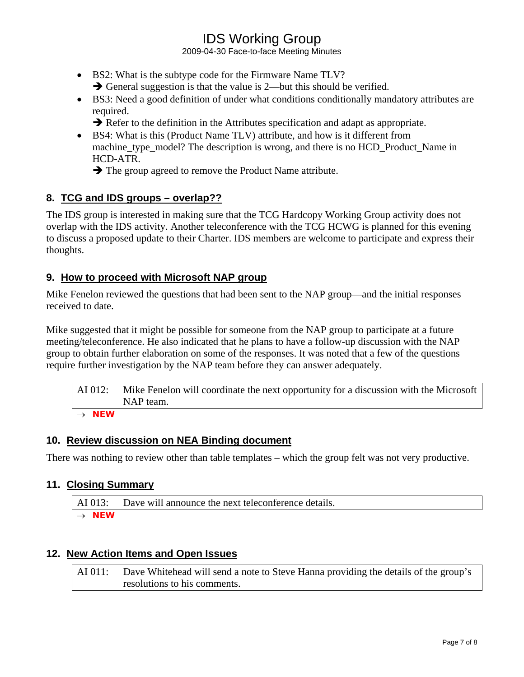2009-04-30 Face-to-face Meeting Minutes

- BS2: What is the subtype code for the Firmware Name TLV?  $\rightarrow$  General suggestion is that the value is 2—but this should be verified.
- BS3: Need a good definition of under what conditions conditionally mandatory attributes are required.

 $\rightarrow$  Refer to the definition in the Attributes specification and adapt as appropriate.

• BS4: What is this (Product Name TLV) attribute, and how is it different from machine type model? The description is wrong, and there is no HCD Product Name in HCD-ATR.

 $\rightarrow$  The group agreed to remove the Product Name attribute.

## **8. TCG and IDS groups – overlap??**

The IDS group is interested in making sure that the TCG Hardcopy Working Group activity does not overlap with the IDS activity. Another teleconference with the TCG HCWG is planned for this evening to discuss a proposed update to their Charter. IDS members are welcome to participate and express their thoughts.

## **9. How to proceed with Microsoft NAP group**

Mike Fenelon reviewed the questions that had been sent to the NAP group—and the initial responses received to date.

Mike suggested that it might be possible for someone from the NAP group to participate at a future meeting/teleconference. He also indicated that he plans to have a follow-up discussion with the NAP group to obtain further elaboration on some of the responses. It was noted that a few of the questions require further investigation by the NAP team before they can answer adequately.

AI 012: Mike Fenelon will coordinate the next opportunity for a discussion with the Microsoft NAP team.

→ *NEW* 

## **10. Review discussion on NEA Binding document**

There was nothing to review other than table templates – which the group felt was not very productive.

## **11. Closing Summary**

AI 013: Dave will announce the next teleconference details. → *NEW* 

## **12. New Action Items and Open Issues**

AI 011: Dave Whitehead will send a note to Steve Hanna providing the details of the group's resolutions to his comments.